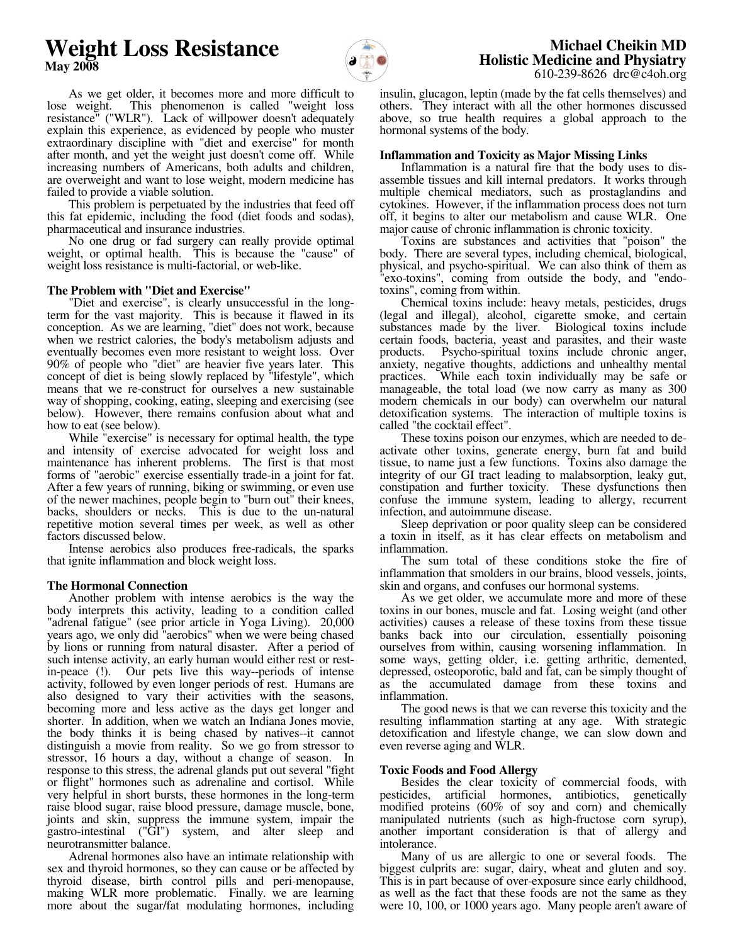# **Weight Loss Resistance May 2008**



 **Michael Cheikin MD Holistic Medicine and Physiatry** 610-239-8626 drc@c4oh.org

 As we get older, it becomes more and more difficult to lose weight. This phenomenon is called "weight loss resistance" ("WLR"). Lack of willpower doesn't adequately explain this experience, as evidenced by people who muster extraordinary discipline with "diet and exercise" for month after month, and yet the weight just doesn't come off. While increasing numbers of Americans, both adults and children, are overweight and want to lose weight, modern medicine has failed to provide a viable solution.

 This problem is perpetuated by the industries that feed off this fat epidemic, including the food (diet foods and sodas), pharmaceutical and insurance industries.

 No one drug or fad surgery can really provide optimal weight, or optimal health. This is because the "cause" of weight loss resistance is multi-factorial, or web-like.

## **The Problem with "Diet and Exercise"**

 "Diet and exercise", is clearly unsuccessful in the longterm for the vast majority. This is because it flawed in its conception. As we are learning, "diet" does not work, because when we restrict calories, the body's metabolism adjusts and eventually becomes even more resistant to weight loss. Over 90% of people who "diet" are heavier five years later. This concept of diet is being slowly replaced by "lifestyle", which means that we re-construct for ourselves a new sustainable way of shopping, cooking, eating, sleeping and exercising (see below). However, there remains confusion about what and how to eat (see below).

 While "exercise" is necessary for optimal health, the type and intensity of exercise advocated for weight loss and maintenance has inherent problems. The first is that most forms of "aerobic" exercise essentially trade-in a joint for fat. After a few years of running, biking or swimming, or even use of the newer machines, people begin to "burn out" their knees, backs, shoulders or necks. This is due to the un-natural repetitive motion several times per week, as well as other factors discussed below.

 Intense aerobics also produces free-radicals, the sparks that ignite inflammation and block weight loss.

## **The Hormonal Connection**

 Another problem with intense aerobics is the way the body interprets this activity, leading to a condition called "adrenal fatigue" (see prior article in Yoga Living). 20,000 years ago, we only did "aerobics" when we were being chased by lions or running from natural disaster. After a period of such intense activity, an early human would either rest or restin-peace (!). Our pets live this way--periods of intense activity, followed by even longer periods of rest. Humans are also designed to vary their activities with the seasons, becoming more and less active as the days get longer and shorter. In addition, when we watch an Indiana Jones movie, the body thinks it is being chased by natives--it cannot distinguish a movie from reality. So we go from stressor to stressor, 16 hours a day, without a change of season. In response to this stress, the adrenal glands put out several "fight or flight" hormones such as adrenaline and cortisol. While very helpful in short bursts, these hormones in the long-term raise blood sugar, raise blood pressure, damage muscle, bone, joints and skin, suppress the immune system, impair the gastro-intestinal ("GI") system, and alter sleep and neurotransmitter balance.

 Adrenal hormones also have an intimate relationship with sex and thyroid hormones, so they can cause or be affected by thyroid disease, birth control pills and peri-menopause, making WLR more problematic. Finally. we are learning more about the sugar/fat modulating hormones, including

insulin, glucagon, leptin (made by the fat cells themselves) and others. They interact with all the other hormones discussed above, so true health requires a global approach to the hormonal systems of the body.

## **Inflammation and Toxicity as Major Missing Links**

 Inflammation is a natural fire that the body uses to disassemble tissues and kill internal predators. It works through multiple chemical mediators, such as prostaglandins and cytokines. However, if the inflammation process does not turn off, it begins to alter our metabolism and cause WLR. One major cause of chronic inflammation is chronic toxicity.

 Toxins are substances and activities that "poison" the body. There are several types, including chemical, biological, physical, and psycho-spiritual. We can also think of them as "exo-toxins", coming from outside the body, and "endotoxins", coming from within.

 Chemical toxins include: heavy metals, pesticides, drugs (legal and illegal), alcohol, cigarette smoke, and certain substances made by the liver. Biological toxins include certain foods, bacteria, yeast and parasites, and their waste products. Psycho-spiritual toxins include chronic anger, anxiety, negative thoughts, addictions and unhealthy mental While each toxin individually may be safe or manageable, the total load (we now carry as many as 300 modern chemicals in our body) can overwhelm our natural detoxification systems. The interaction of multiple toxins is called "the cocktail effect".

 These toxins poison our enzymes, which are needed to deactivate other toxins, generate energy, burn fat and build tissue, to name just a few functions. Toxins also damage the integrity of our GI tract leading to malabsorption, leaky gut, constipation and further toxicity. These dysfunctions then confuse the immune system, leading to allergy, recurrent infection, and autoimmune disease.

 Sleep deprivation or poor quality sleep can be considered a toxin in itself, as it has clear effects on metabolism and inflammation.

 The sum total of these conditions stoke the fire of inflammation that smolders in our brains, blood vessels, joints, skin and organs, and confuses our hormonal systems.

 As we get older, we accumulate more and more of these toxins in our bones, muscle and fat. Losing weight (and other activities) causes a release of these toxins from these tissue banks back into our circulation, essentially poisoning ourselves from within, causing worsening inflammation. In some ways, getting older, i.e. getting arthritic, demented, depressed, osteoporotic, bald and fat, can be simply thought of as the accumulated damage from these toxins and inflammation.

 The good news is that we can reverse this toxicity and the resulting inflammation starting at any age. With strategic detoxification and lifestyle change, we can slow down and even reverse aging and WLR.

## **Toxic Foods and Food Allergy**

 Besides the clear toxicity of commercial foods, with pesticides, artificial hormones, antibiotics, genetically modified proteins (60% of soy and corn) and chemically manipulated nutrients (such as high-fructose corn syrup), another important consideration is that of allergy and intolerance.

 Many of us are allergic to one or several foods. The biggest culprits are: sugar, dairy, wheat and gluten and soy. This is in part because of over-exposure since early childhood, as well as the fact that these foods are not the same as they were 10, 100, or 1000 years ago. Many people aren't aware of